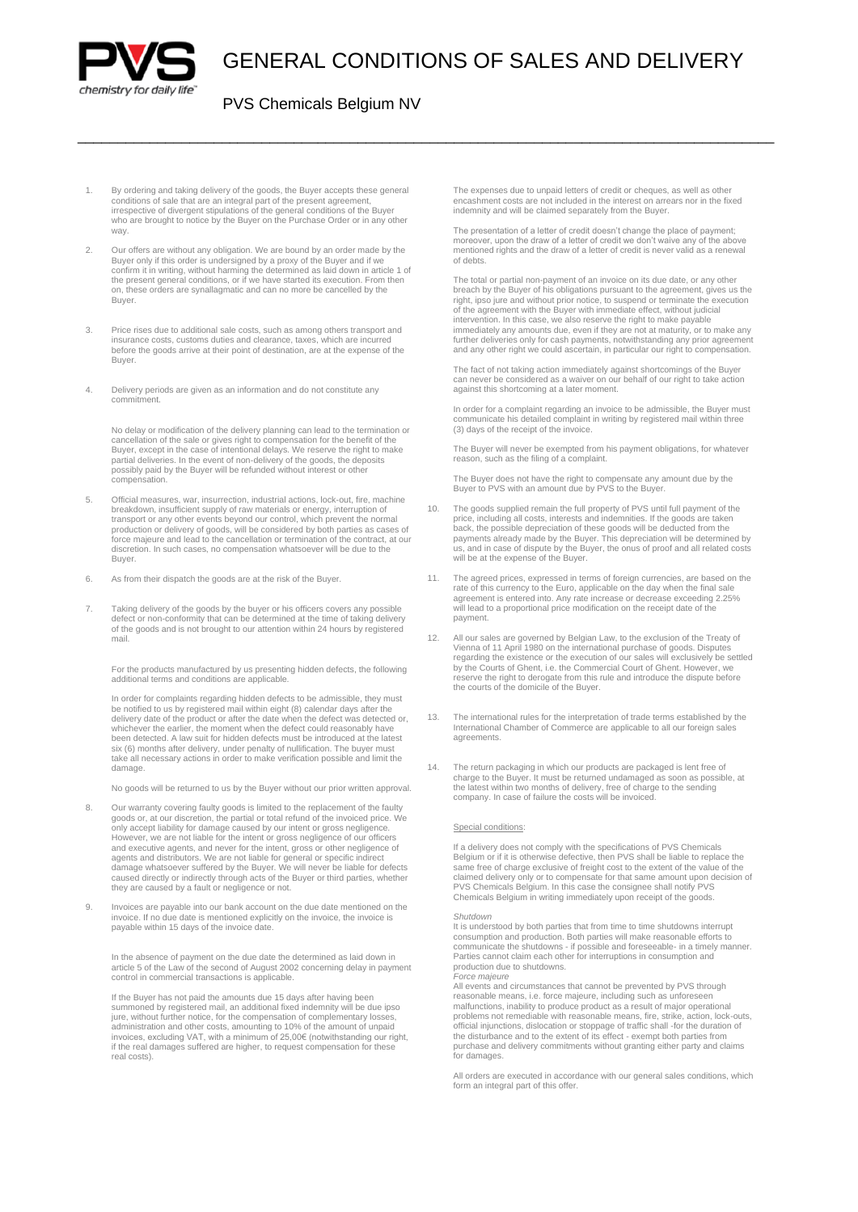

# GENERAL CONDITIONS OF SALES AND DELIVERY

\_\_\_\_\_\_\_\_\_\_\_\_\_\_\_\_\_\_\_\_\_\_\_\_\_\_\_\_\_\_\_\_\_\_\_\_\_\_\_\_\_\_\_\_\_\_\_\_\_\_\_\_\_\_\_\_\_\_\_\_\_\_\_\_\_\_\_\_\_\_\_\_\_\_\_\_\_\_\_\_\_\_\_\_\_\_\_

### PVS Chemicals Belgium NV

- 1. By ordering and taking delivery of the goods, the Buyer accepts these general conditions of sale that are an integral part of the present agreement, irrespective of divergent stipulations of the general conditions of the Buyer who are brought to notice by the Buyer on the Purchase Order or in any other way.
- 2. Our offers are without any obligation. We are bound by an order made by the Buyer only if this order is undersigned by a proxy of the Buyer and if we confirm it in writing, without harming the determined as laid down in article 1 of the present general conditions, or if we have started its execution. From then on, these orders are synallagmatic and can no more be cancelled by the Buyer.
- 3. Price rises due to additional sale costs, such as among others transport and insurance costs, customs duties and clearance, taxes, which are incurred before the goods arrive at their point of destination, are at the expense of the **Buver**
- 4. Delivery periods are given as an information and do not constitute any commitment.

No delay or modification of the delivery planning can lead to the termination or cancellation of the sale or gives right to compensation for the benefit of the<br>Buyer, except in the case of intentional delays. We reserve the right to make<br>partial deliveries. In the event of non-delivery of the goods, th compensation.

- 5. Official measures, war, insurrection, industrial actions, lock-out, fire, machine breakdown, insufficient supply of raw materials or energy, interruption of transport or any other events beyond our control, which prevent the normal production or delivery of goods, will be considered by both parties as cases of force majeure and lead to the cancellation or termination of the contract, at our discretion. In such cases, no compensation whatsoever will be due to the Buyer.
- 6. As from their dispatch the goods are at the risk of the Buyer.
- 7. Taking delivery of the goods by the buyer or his officers covers any possible defect or non-conformity that can be determined at the time of taking delivery of the goods and is not brought to our attention within 24 hours by registered mail.

For the products manufactured by us presenting hidden defects, the following additional terms and conditions are applicable.

In order for complaints regarding hidden defects to be admissible, they must be notified to us by registered mail within eight (8) calendar days after the delivery date of the product or after the date when the defect was detected or, whichever the earlier, the moment when the defect could reasonably have been detected. A law suit for hidden defects must be introduced at the latest six (6) months after delivery, under penalty of nullification. The buyer must take all necessary actions in order to make verification possible and limit the damage

No goods will be returned to us by the Buyer without our prior written approval.

- 8. Our warranty covering faulty goods is limited to the replacement of the faulty goods or, at our discretion, the partial or total refund of the invoiced price. We only accept liability for damage caused by our intent or they are caused by a fault or negligence or not.
- 9. Invoices are payable into our bank account on the due date mentioned on the invoice. If no due date is mentioned explicitly on the invoice, the invoice is payable within 15 days of the invoice date.

In the absence of payment on the due date the determined as laid down in article 5 of the Law of the second of August 2002 concerning delay in payment control in commercial transactions is applicable.

If the Buyer has not paid the amounts due 15 days after having been summoned by registered mail, an additional fixed indemnity will be due ipso<br>jure, without further notice, for the compensation of complementary losses,<br>administration and other costs, amounting to 10% of the amount of unpa invoices, excluding VAT, with a minimum of 25,00€ (notwithstanding our right, if the real damages suffered are higher, to request compensation for these real costs).

The expenses due to unpaid letters of credit or cheques, as well as other encashment costs are not included in the interest on arrears nor in the fixed indemnity and will be claimed separately from the Buyer.

The presentation of a letter of credit doesn't change the place of payment; moreover, upon the draw of a letter of credit we don't waive any of the above mentioned rights and the draw of a letter of credit is never valid as a renewal of debts.

The total or partial non-payment of an invoice on its due date, or any other<br>breach by the Buyer of his obligations pursuant to the agreement, gives us the<br>right, ipso jure and without prior notice, to suspend or terminate immediately any amounts due, even if they are not at maturity, or to make any further deliveries only for cash payments, notwithstanding any prior agreement and any other right we could ascertain, in particular our right to compensation.

The fact of not taking action immediately against shortcomings of the Buyer can never be considered as a waiver on our behalf of our right to take action against this shortcoming at a later moment.

In order for a complaint regarding an invoice to be admissible, the Buyer must communicate his detailed complaint in writing by registered mail within three (3) days of the receipt of the invoice.

The Buyer will never be exempted from his payment obligations, for whatever reason, such as the filing of a complaint.

The Buyer does not have the right to compensate any amount due by the Buyer to PVS with an amount due by PVS to the Buyer.

- 10. The goods supplied remain the full property of PVS until full payment of the price, including all costs, interests and indemnities. If the goods are taken back, the possible depreciation of these goods will be deducted from the payments already made by the Buyer. This depreciation will be determined by us, and in case of dispute by the Buyer, the onus of proof and all related costs will be at the expense of the Buyer.
- 11. The agreed prices, expressed in terms of foreign currencies, are based on the rate of this currency to the Euro, applicable on the day when the final sale agreement is entered into. Any rate increase or decrease exceeding 2.25% will lead to a proportional price modification on the receipt date of the payment.
- 12. All our sales are governed by Belgian Law, to the exclusion of the Treaty of Vienna of 11 April 1980 on the international purchase of goods. Disputes regarding the existence or the execution of our sales will exclusively be settled by the Courts of Ghent, i.e. the Commercial Court of Ghent. However, we reserve the right to derogate from this rule and introduce the dispute before the courts of the domicile of the Buyer.
- 13. The international rules for the interpretation of trade terms established by the International Chamber of Commerce are applicable to all our foreign sales agreements.
- 14. The return packaging in which our products are packaged is lent free of charge to the Buyer. It must be returned undamaged as soon as possible, at the latest within two months of delivery, free of charge to the sending company. In case of failure the costs will be invoiced.

#### Special conditions:

If a delivery does not comply with the specifications of PVS Chemicals Belgium or if it is otherwise defective, then PVS shall be liable to replace the same free of charge exclusive of freight cost to the extent of the value of the claimed delivery only or to compensate for that same amount upon decision of PVS Chemicals Belgium. In this case the consignee shall notify PVS Chemicals Belgium in writing immediately upon receipt of the goods.

#### *Shutdown*

It is understood by both parties that from time to time shutdowns interrupt<br>consumption and production. Both parties will make reasonable efforts to<br>communicate the shutdowns - if possible and foreseeable- in a timely mann Parties cannot claim each other for interruptions in consumption and production due to shutdowns. *Force majeure*

All events and circumstances that cannot be prevented by PVS through reasonable means, i.e. force majeure, including such as unforeseen malfunctions, inability to produce product as a result of major operational problems not remediable with reasonable means, fire, strike, action, lock-outs, official injunctions, dislocation or stoppage of traffic shall -for the duration of the disturbance and to the extent of its effect - exempt both parties from purchase and delivery commitments without granting either party and claims for damages

All orders are executed in accordance with our general sales conditions, which form an integral part of this offer.